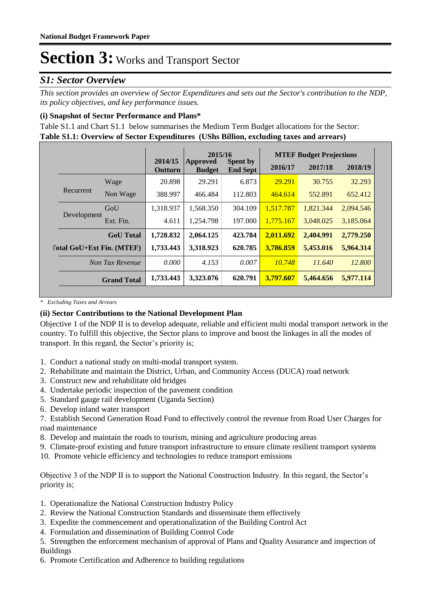### *S1: Sector Overview*

*This section provides an overview of Sector Expenditures and sets out the Sector's contribution to the NDP, its policy objectives, and key performance issues.* 

### **(i) Snapshot of Sector Performance and Plans\***

**Table S1.1: Overview of Sector Expenditures (UShs Billion, excluding taxes and arrears)** Table S1.1 and Chart S1.1 below summarises the Medium Term Budget allocations for the Sector:

|                                  |                    |                           | 2015/16                   |                                    |           | <b>MTEF Budget Projections</b> |           |
|----------------------------------|--------------------|---------------------------|---------------------------|------------------------------------|-----------|--------------------------------|-----------|
|                                  |                    | 2014/15<br><b>Outturn</b> | Approved<br><b>Budget</b> | <b>Spent by</b><br><b>End Sept</b> | 2016/17   | 2017/18                        | 2018/19   |
|                                  | Wage               | 20.898                    | 29.291                    | 6.873                              | 29.291    | 30.755                         | 32.293    |
| Recurrent                        | Non Wage           | 388.997                   | 466.484                   | 112.803                            | 464.614   | 552.891                        | 652.412   |
|                                  | GoU                | 1.318.937                 | 1.568.350                 | 304.109                            | 1,517.787 | 1,821.344                      | 2,094.546 |
| Development                      | Ext. Fin.          | 4.611                     | 1,254.798                 | 197.000                            | 1,775.167 | 3,048.025                      | 3,185.064 |
|                                  | <b>GoU</b> Total   | 1,728.832                 | 2,064.125                 | 423.784                            | 2,011.692 | 2,404.991                      | 2,779.250 |
| <b>Total GoU+Ext Fin. (MTEF)</b> |                    | 1,733.443                 | 3,318.923                 | 620.785                            | 3,786.859 | 5,453.016                      | 5,964.314 |
| Non Tax Revenue                  |                    | 0.000                     | 4.153                     | 0.007                              | 10.748    | 11.640                         | 12.800    |
|                                  | <b>Grand Total</b> | 1,733.443                 | 3,323.076                 | 620.791                            | 3,797,607 | 5,464.656                      | 5,977,114 |

*\* Excluding Taxes and Arrears*

### **(ii) Sector Contributions to the National Development Plan**

Objective 1 of the NDP II is to develop adequate, reliable and efficient multi modal transport network in the country. To fulfill this objective, the Sector plans to improve and boost the linkages in all the modes of transport. In this regard, the Sector's priority is;

- 1. Conduct a national study on multi-modal transport system.
- 2. Rehabilitate and maintain the District, Urban, and Community Access (DUCA) road network
- 3. Construct new and rehabilitate old bridges
- 4. Undertake periodic inspection of the pavement condition
- 5. Standard gauge rail development (Uganda Section)
- 6. Develop inland water transport

7. Establish Second Generation Road Fund to effectively control the revenue from Road User Charges for road maintenance

- 8. Develop and maintain the roads to tourism, mining and agriculture producing areas
- 9. Climate-proof existing and future transport infrastructure to ensure climate resilient transport systems
- 10. Promote vehicle efficiency and technologies to reduce transport emissions

Objective 3 of the NDP II is to support the National Construction Industry. In this regard, the Sector's priority is;

- 1. Operationalize the National Construction Industry Policy
- 2. Review the National Construction Standards and disseminate them effectively
- 3. Expedite the commencement and operationalization of the Building Control Act
- 4. Formulation and dissemination of Building Control Code
- 5. Strengthen the enforcement mechanism of approval of Plans and Quality Assurance and inspection of Buildings
- 6. Promote Certification and Adherence to building regulations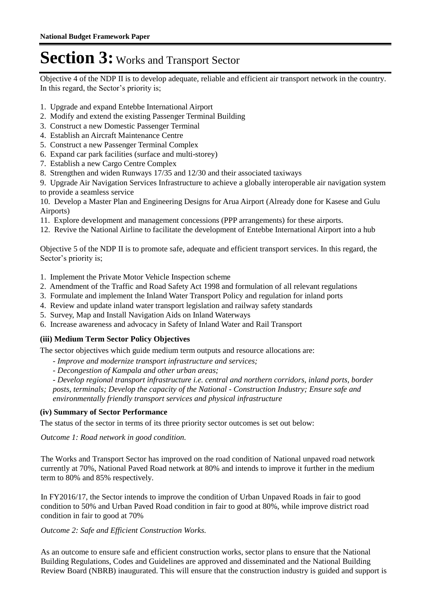Objective 4 of the NDP II is to develop adequate, reliable and efficient air transport network in the country. In this regard, the Sector's priority is;

- 1. Upgrade and expand Entebbe International Airport
- 2. Modify and extend the existing Passenger Terminal Building
- 3. Construct a new Domestic Passenger Terminal
- 4. Establish an Aircraft Maintenance Centre
- 5. Construct a new Passenger Terminal Complex
- 6. Expand car park facilities (surface and multi-storey)
- 7. Establish a new Cargo Centre Complex
- 8. Strengthen and widen Runways 17/35 and 12/30 and their associated taxiways
- 9. Upgrade Air Navigation Services Infrastructure to achieve a globally interoperable air navigation system to provide a seamless service

10. Develop a Master Plan and Engineering Designs for Arua Airport (Already done for Kasese and Gulu Airports)

- 11. Explore development and management concessions (PPP arrangements) for these airports.
- 12. Revive the National Airline to facilitate the development of Entebbe International Airport into a hub

Objective 5 of the NDP II is to promote safe, adequate and efficient transport services. In this regard, the Sector's priority is;

- 1. Implement the Private Motor Vehicle Inspection scheme
- 2. Amendment of the Traffic and Road Safety Act 1998 and formulation of all relevant regulations
- 3. Formulate and implement the Inland Water Transport Policy and regulation for inland ports
- 4. Review and update inland water transport legislation and railway safety standards
- 5. Survey, Map and Install Navigation Aids on Inland Waterways
- 6. Increase awareness and advocacy in Safety of Inland Water and Rail Transport

### **(iii) Medium Term Sector Policy Objectives**

The sector objectives which guide medium term outputs and resource allocations are:

- *Improve and modernize transport infrastructure and services;*
- *Decongestion of Kampala and other urban areas;*

*- Develop regional transport infrastructure i.e. central and northern corridors, inland ports, border posts, terminals; Develop the capacity of the National - Construction Industry; Ensure safe and environmentally friendly transport services and physical infrastructure*

### **(iv) Summary of Sector Performance**

The status of the sector in terms of its three priority sector outcomes is set out below:

Outcome 1: Road network in good condition.

The Works and Transport Sector has improved on the road condition of National unpaved road network currently at 70%, National Paved Road network at 80% and intends to improve it further in the medium term to 80% and 85% respectively.

In FY2016/17, the Sector intends to improve the condition of Urban Unpaved Roads in fair to good condition to 50% and Urban Paved Road condition in fair to good at 80%, while improve district road condition in fair to good at 70%

Outcome 2: Safe and Efficient Construction Works.

As an outcome to ensure safe and efficient construction works, sector plans to ensure that the National Building Regulations, Codes and Guidelines are approved and disseminated and the National Building Review Board (NBRB) inaugurated. This will ensure that the construction industry is guided and support is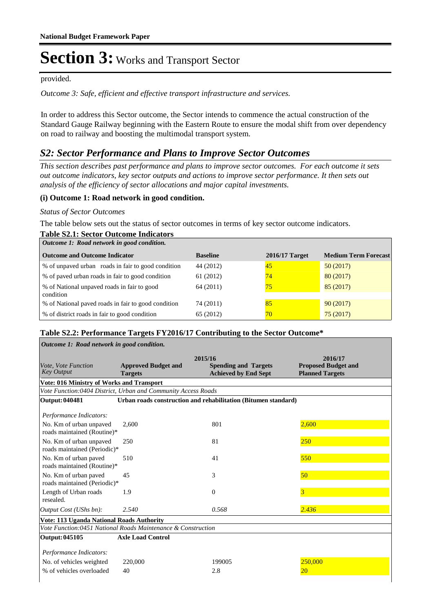#### provided.

Outcome 3: Safe, efficient and effective transport infrastructure and services.

In order to address this Sector outcome, the Sector intends to commence the actual construction of the Standard Gauge Railway beginning with the Eastern Route to ensure the modal shift from over dependency on road to railway and boosting the multimodal transport system.

### *S2: Sector Performance and Plans to Improve Sector Outcomes*

*This section describes past performance and plans to improve sector outcomes. For each outcome it sets out outcome indicators, key sector outputs and actions to improve sector performance. It then sets out analysis of the efficiency of sector allocations and major capital investments.*

### **(i) Outcome 1: Road network in good condition.**

#### *Status of Sector Outcomes*

**Table S2.1: Sector Outcome Indicators**

The table below sets out the status of sector outcomes in terms of key sector outcome indicators.

| Table S2.1: Sector Outcome Indicators<br>Outcome 1: Road network in good condition. |                 |                |                             |
|-------------------------------------------------------------------------------------|-----------------|----------------|-----------------------------|
| <b>Outcome and Outcome Indicator</b>                                                | <b>Baseline</b> | 2016/17 Target | <b>Medium Term Forecast</b> |
| % of unpaved urban roads in fair to good condition                                  | 44 (2012)       | 45             | 50(2017)                    |
| % of paved urban roads in fair to good condition                                    | 61 (2012)       | 74             | 80(2017)                    |
| % of National unpaved roads in fair to good                                         | 64 (2011)       | 75             | 85(2017)                    |
| condition                                                                           |                 |                |                             |
| % of National paved roads in fair to good condition                                 | 74 (2011)       | 85             | 90(2017)                    |
| % of district roads in fair to good condition                                       | 65 (2012)       | 70             | 75(2017)                    |

### **Table S2.2: Performance Targets FY2016/17 Contributing to the Sector Outcome\***

| Outcome 1: Road network in good condition.                    |                                              |                                                                       |                                                                 |  |  |  |
|---------------------------------------------------------------|----------------------------------------------|-----------------------------------------------------------------------|-----------------------------------------------------------------|--|--|--|
| Vote, Vote Function<br><b>Key Output</b>                      | <b>Approved Budget and</b><br><b>Targets</b> | 2015/16<br><b>Spending and Targets</b><br><b>Achieved by End Sept</b> | 2016/17<br><b>Proposed Budget and</b><br><b>Planned Targets</b> |  |  |  |
| <b>Vote: 016 Ministry of Works and Transport</b>              |                                              |                                                                       |                                                                 |  |  |  |
| Vote Function:0404 District, Urban and Community Access Roads |                                              |                                                                       |                                                                 |  |  |  |
| Output: 040481                                                |                                              | Urban roads construction and rehabilitation (Bitumen standard)        |                                                                 |  |  |  |
| Performance Indicators:                                       |                                              |                                                                       |                                                                 |  |  |  |
| No. Km of urban unpaved<br>roads maintained (Routine)*        | 2,600                                        | 801                                                                   | 2,600                                                           |  |  |  |
| No. Km of urban unpaved<br>roads maintained (Periodic)*       | 250                                          | 81                                                                    | 250                                                             |  |  |  |
| No. Km of urban paved<br>roads maintained (Routine)*          | 510                                          | 41                                                                    | 550                                                             |  |  |  |
| No. Km of urban paved<br>roads maintained (Periodic)*         | 45                                           | 3                                                                     | 50                                                              |  |  |  |
| Length of Urban roads<br>resealed.                            | 1.9                                          | $\Omega$                                                              | 3                                                               |  |  |  |
| Output Cost (UShs bn):                                        | 2.540                                        | 0.568                                                                 | 2.436                                                           |  |  |  |
| <b>Vote: 113 Uganda National Roads Authority</b>              |                                              |                                                                       |                                                                 |  |  |  |
| Vote Function:0451 National Roads Maintenance & Construction  |                                              |                                                                       |                                                                 |  |  |  |
| Output: 045105                                                | <b>Axle Load Control</b>                     |                                                                       |                                                                 |  |  |  |
| Performance Indicators:                                       |                                              |                                                                       |                                                                 |  |  |  |
| No. of vehicles weighted                                      | 220,000                                      | 199005                                                                | 250,000                                                         |  |  |  |
| % of vehicles overloaded                                      | 40                                           | 2.8                                                                   | 20                                                              |  |  |  |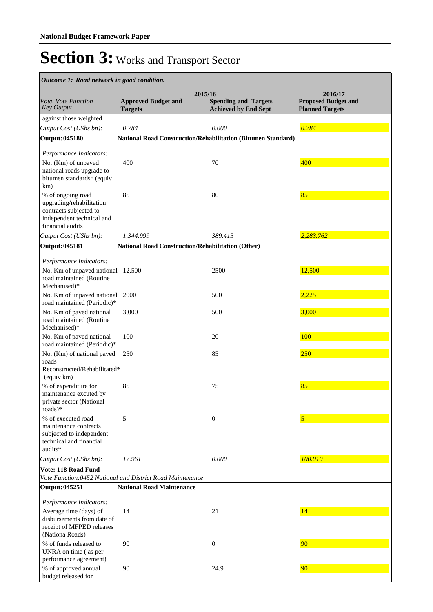| Outcome 1: Road network in good condition.                                                                               |                                              |                                                                       |                                                                 |
|--------------------------------------------------------------------------------------------------------------------------|----------------------------------------------|-----------------------------------------------------------------------|-----------------------------------------------------------------|
| Vote, Vote Function<br>Key Output                                                                                        | <b>Approved Budget and</b><br><b>Targets</b> | 2015/16<br><b>Spending and Targets</b><br><b>Achieved by End Sept</b> | 2016/17<br><b>Proposed Budget and</b><br><b>Planned Targets</b> |
| against those weighted                                                                                                   |                                              |                                                                       |                                                                 |
| Output Cost (UShs bn):                                                                                                   | 0.784                                        | 0.000                                                                 | 0.784                                                           |
| <b>Output: 045180</b>                                                                                                    |                                              | <b>National Road Construction/Rehabilitation (Bitumen Standard)</b>   |                                                                 |
| Performance Indicators:                                                                                                  |                                              |                                                                       |                                                                 |
| No. (Km) of unpaved<br>national roads upgrade to<br>bitumen standards* (equiv<br>km)                                     | 400                                          | 70                                                                    | 400                                                             |
| % of ongoing road<br>upgrading/rehabilitation<br>contracts subjected to<br>independent technical and<br>financial audits | 85                                           | 80                                                                    | 85                                                              |
| Output Cost (UShs bn):                                                                                                   | 1,344.999                                    | 389.415                                                               | 2,283.762                                                       |
| <b>Output: 045181</b>                                                                                                    |                                              | <b>National Road Construction/Rehabilitation (Other)</b>              |                                                                 |
| Performance Indicators:                                                                                                  |                                              |                                                                       |                                                                 |
| No. Km of unpaved national 12,500<br>road maintained (Routine<br>Mechanised)*                                            |                                              | 2500                                                                  | 12,500                                                          |
| No. Km of unpaved national<br>road maintained (Periodic)*                                                                | 2000                                         | 500                                                                   | 2,225                                                           |
| No. Km of paved national<br>road maintained (Routine<br>Mechanised)*                                                     | 3,000                                        | 500                                                                   | 3,000                                                           |
| No. Km of paved national<br>road maintained (Periodic)*                                                                  | 100                                          | 20                                                                    | 100                                                             |
| No. (Km) of national paved<br>roads<br>Reconstructed/Rehabilitated*<br>(equiv km)                                        | 250                                          | 85                                                                    | 250                                                             |
| % of expenditure for<br>maintenance excuted by<br>private sector (National<br>roads $)$ *                                | 85                                           | 75                                                                    | 85                                                              |
| % of executed road<br>maintenance contracts<br>subjected to independent<br>technical and financial<br>audits*            | 5                                            | $\boldsymbol{0}$                                                      | 5                                                               |
| Output Cost (UShs bn):                                                                                                   | 17.961                                       | 0.000                                                                 | 100.010                                                         |
| Vote: 118 Road Fund                                                                                                      |                                              |                                                                       |                                                                 |
| Vote Function:0452 National and District Road Maintenance                                                                |                                              |                                                                       |                                                                 |
| Output: 045251                                                                                                           | <b>National Road Maintenance</b>             |                                                                       |                                                                 |
| Performance Indicators:                                                                                                  |                                              |                                                                       |                                                                 |
| Average time (days) of<br>disbursements from date of<br>receipt of MFPED releases<br>(Nationa Roads)                     | 14                                           | 21                                                                    | 14                                                              |
| % of funds released to<br>UNRA on time (as per<br>performance agreement)                                                 | 90                                           | $\boldsymbol{0}$                                                      | 90                                                              |
| % of approved annual<br>budget released for                                                                              | 90                                           | 24.9                                                                  | 90                                                              |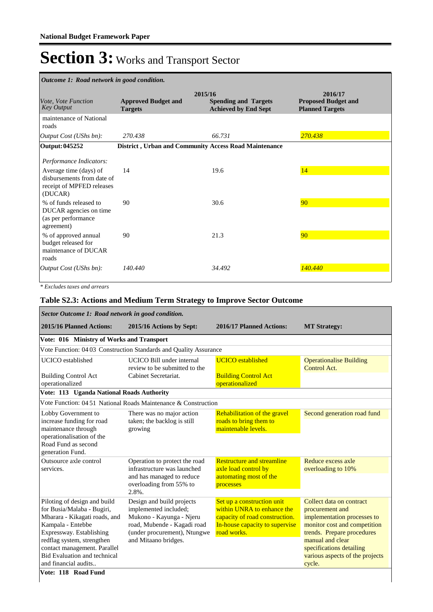| Outcome 1: Road network in good condition.                                                   |                                              |                                                                       |                                                                 |  |  |
|----------------------------------------------------------------------------------------------|----------------------------------------------|-----------------------------------------------------------------------|-----------------------------------------------------------------|--|--|
| Vote, Vote Function<br>Key Output                                                            | <b>Approved Budget and</b><br><b>Targets</b> | 2015/16<br><b>Spending and Targets</b><br><b>Achieved by End Sept</b> | 2016/17<br><b>Proposed Budget and</b><br><b>Planned Targets</b> |  |  |
| maintenance of National<br>roads                                                             |                                              |                                                                       |                                                                 |  |  |
| Output Cost (UShs bn):                                                                       | 270.438                                      | 66.731                                                                | 270.438                                                         |  |  |
| Output: 045252                                                                               |                                              | District, Urban and Community Access Road Maintenance                 |                                                                 |  |  |
| Performance Indicators:                                                                      |                                              |                                                                       |                                                                 |  |  |
| Average time (days) of<br>disbursements from date of<br>receipt of MPFED releases<br>(DUCAR) | 14                                           | 19.6                                                                  | 14                                                              |  |  |
| % of funds released to<br>DUCAR agencies on time<br>(as per performance<br>agreement)        | 90                                           | 30.6                                                                  | 90                                                              |  |  |
| % of approved annual<br>budget released for<br>maintenance of DUCAR<br>roads                 | 90                                           | 21.3                                                                  | 90                                                              |  |  |
| Output Cost (UShs bn):                                                                       | 140,440                                      | 34.492                                                                | 140.440                                                         |  |  |

*\* Excludes taxes and arrears*

### **Table S2.3: Actions and Medium Term Strategy to Improve Sector Outcome**

| Sector Outcome 1: Road network in good condition.                                                                                                                                                                                                                                                |                                                                                                                                                                       |                                                                                                                                             |                                                                                                                                                                                                                                       |  |  |  |  |
|--------------------------------------------------------------------------------------------------------------------------------------------------------------------------------------------------------------------------------------------------------------------------------------------------|-----------------------------------------------------------------------------------------------------------------------------------------------------------------------|---------------------------------------------------------------------------------------------------------------------------------------------|---------------------------------------------------------------------------------------------------------------------------------------------------------------------------------------------------------------------------------------|--|--|--|--|
| 2015/16 Planned Actions:                                                                                                                                                                                                                                                                         | 2015/16 Actions by Sept:                                                                                                                                              | 2016/17 Planned Actions:                                                                                                                    | <b>MT Strategy:</b>                                                                                                                                                                                                                   |  |  |  |  |
|                                                                                                                                                                                                                                                                                                  | Vote: 016 Ministry of Works and Transport                                                                                                                             |                                                                                                                                             |                                                                                                                                                                                                                                       |  |  |  |  |
|                                                                                                                                                                                                                                                                                                  | Vote Function: 04 03 Construction Standards and Quality Assurance                                                                                                     |                                                                                                                                             |                                                                                                                                                                                                                                       |  |  |  |  |
| <b>UCICO</b> established                                                                                                                                                                                                                                                                         | UCICO Bill under internal<br>review to be submitted to the                                                                                                            | <b>UCICO</b> established                                                                                                                    | <b>Operationalise Building</b><br>Control Act.                                                                                                                                                                                        |  |  |  |  |
| <b>Building Control Act</b><br>operationalized                                                                                                                                                                                                                                                   | Cabinet Secretariat.                                                                                                                                                  | <b>Building Control Act</b><br>operationalized                                                                                              |                                                                                                                                                                                                                                       |  |  |  |  |
| Vote: 113 Uganda National Roads Authority                                                                                                                                                                                                                                                        |                                                                                                                                                                       |                                                                                                                                             |                                                                                                                                                                                                                                       |  |  |  |  |
|                                                                                                                                                                                                                                                                                                  | Vote Function: 04.51 National Roads Maintenance & Construction                                                                                                        |                                                                                                                                             |                                                                                                                                                                                                                                       |  |  |  |  |
| Lobby Government to<br>increase funding for road<br>maintenance through<br>operationalisation of the<br>Road Fund as second<br>generation Fund.                                                                                                                                                  | There was no major action<br>taken; the backlog is still<br>growing                                                                                                   | Rehabilitation of the gravel<br>roads to bring them to<br>maintenable levels.                                                               | Second generation road fund                                                                                                                                                                                                           |  |  |  |  |
| Outsource axle control<br>services.                                                                                                                                                                                                                                                              | Operation to protect the road<br>infrastructure was launched<br>and has managed to reduce<br>overloading from 55% to<br>2.8%.                                         | <b>Restructure and streamline</b><br>axle load control by<br>automating most of the<br>processes                                            | Reduce excess axle<br>overloading to 10%                                                                                                                                                                                              |  |  |  |  |
| Piloting of design and build<br>for Busia/Malaba - Bugiri,<br>Mbarara - Kikagati roads, and<br>Kampala - Entebbe<br>Expressway. Establishing<br>redflag system, strengthen<br>contact management. Parallel<br><b>Bid Evaluation and technical</b><br>and financial audits<br>Vote: 118 Road Fund | Design and build projects<br>implemented included;<br>Mukono - Kayunga - Njeru<br>road, Mubende - Kagadi road<br>(under procurement), Ntungwe<br>and Mitaano bridges. | Set up a construction unit<br>within UNRA to enhance the<br>capacity of road construction.<br>In-house capacity to supervise<br>road works. | Collect data on contract<br>procurement and<br>implementation processes to<br>monitor cost and competition<br>trends. Prepare procedures<br>manual and clear<br>specifications detailing<br>various aspects of the projects<br>cycle. |  |  |  |  |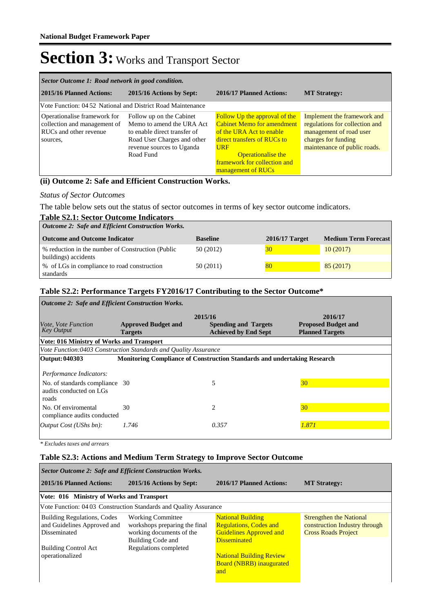| Sector Outcome 1: Road network in good condition.                                                  |                                                                                                                                                                |                                                                                                                                                                                                                                       |                                                                                                                                                 |  |  |  |
|----------------------------------------------------------------------------------------------------|----------------------------------------------------------------------------------------------------------------------------------------------------------------|---------------------------------------------------------------------------------------------------------------------------------------------------------------------------------------------------------------------------------------|-------------------------------------------------------------------------------------------------------------------------------------------------|--|--|--|
| 2015/16 Planned Actions:                                                                           | 2015/16 Actions by Sept:                                                                                                                                       | 2016/17 Planned Actions:                                                                                                                                                                                                              | <b>MT Strategy:</b>                                                                                                                             |  |  |  |
| Vote Function: 04.52 National and District Road Maintenance                                        |                                                                                                                                                                |                                                                                                                                                                                                                                       |                                                                                                                                                 |  |  |  |
| Operationalise framework for<br>collection and management of<br>RUCs and other revenue<br>sources, | Follow up on the Cabinet<br>Memo to amend the URA Act<br>to enable direct transfer of<br>Road User Charges and other<br>revenue sources to Uganda<br>Road Fund | <b>Follow Up the approval of the</b><br><b>Cabinet Memo for amendment</b><br>of the URA Act to enable<br>direct transfers of RUCs to<br><b>URF</b><br><b>Operationalise the</b><br>framework for collection and<br>management of RUCs | Implement the framework and<br>regulations for collection and<br>management of road user<br>charges for funding<br>maintenance of public roads. |  |  |  |

### **(ii) Outcome 2: Safe and Efficient Construction Works.**

### *Status of Sector Outcomes*

The table below sets out the status of sector outcomes in terms of key sector outcome indicators.

| <b>Table S2.1: Sector Outcome Indicators</b>                              |                 |                  |                             |
|---------------------------------------------------------------------------|-----------------|------------------|-----------------------------|
| <b>Outcome 2: Safe and Efficient Construction Works.</b>                  |                 |                  |                             |
| <b>Outcome and Outcome Indicator</b>                                      | <b>Baseline</b> | $2016/17$ Target | <b>Medium Term Forecast</b> |
| % reduction in the number of Construction (Public<br>buildings) accidents | 50 (2012)       | 30               | 10(2017)                    |
| % of LGs in compliance to road construction<br>standards                  | 50 (2011)       | 80               | 85(2017)                    |

### **Table S2.2: Performance Targets FY2016/17 Contributing to the Sector Outcome\***

| <b>Outcome 2: Safe and Efficient Construction Works.</b>           |                                                                 |                                                                                 |                            |  |  |  |
|--------------------------------------------------------------------|-----------------------------------------------------------------|---------------------------------------------------------------------------------|----------------------------|--|--|--|
|                                                                    | 2015/16<br>2016/17                                              |                                                                                 |                            |  |  |  |
| <i>Vote, Vote Function</i>                                         | <b>Approved Budget and</b>                                      | <b>Spending and Targets</b>                                                     | <b>Proposed Budget and</b> |  |  |  |
| <b>Key Output</b>                                                  | <b>Targets</b>                                                  | <b>Achieved by End Sept</b>                                                     | <b>Planned Targets</b>     |  |  |  |
| Vote: 016 Ministry of Works and Transport                          |                                                                 |                                                                                 |                            |  |  |  |
|                                                                    | Vote Function:0403 Construction Standards and Quality Assurance |                                                                                 |                            |  |  |  |
| Output: 040303                                                     |                                                                 | <b>Monitoring Compliance of Construction Standards and undertaking Research</b> |                            |  |  |  |
| Performance Indicators:                                            |                                                                 |                                                                                 |                            |  |  |  |
| No. of standards compliance 30<br>audits conducted on LGs<br>roads |                                                                 | 5                                                                               | 30                         |  |  |  |
| No. Of enviromental<br>compliance audits conducted                 | 30                                                              | $\overline{c}$                                                                  | 30                         |  |  |  |
| [Output Cost (UShs bn):                                            | 1.746                                                           | 0.357                                                                           | 1.871                      |  |  |  |

*\* Excludes taxes and arrears*

### **Table S2.3: Actions and Medium Term Strategy to Improve Sector Outcome**

| Sector Outcome 2: Safe and Efficient Construction Works.                          |                                                                                                            |                                                                                                                    |                                                                                               |  |  |  |
|-----------------------------------------------------------------------------------|------------------------------------------------------------------------------------------------------------|--------------------------------------------------------------------------------------------------------------------|-----------------------------------------------------------------------------------------------|--|--|--|
| 2015/16 Planned Actions:                                                          | 2015/16 Actions by Sept:                                                                                   | 2016/17 Planned Actions:                                                                                           | <b>MT Strategy:</b>                                                                           |  |  |  |
| Vote: 016 Ministry of Works and Transport                                         |                                                                                                            |                                                                                                                    |                                                                                               |  |  |  |
|                                                                                   | Vote Function: 04 03 Construction Standards and Quality Assurance                                          |                                                                                                                    |                                                                                               |  |  |  |
| <b>Building Regulations, Codes</b><br>and Guidelines Approved and<br>Disseminated | <b>Working Committee</b><br>workshops preparing the final<br>working documents of the<br>Building Code and | <b>National Building</b><br><b>Regulations, Codes and</b><br><b>Guidelines Approved and</b><br><b>Disseminated</b> | <b>Strengthen the National</b><br>construction Industry through<br><b>Cross Roads Project</b> |  |  |  |
| <b>Building Control Act</b><br>operationalized                                    | Regulations completed                                                                                      | <b>National Building Review</b><br><b>Board (NBRB) inaugurated</b><br>and                                          |                                                                                               |  |  |  |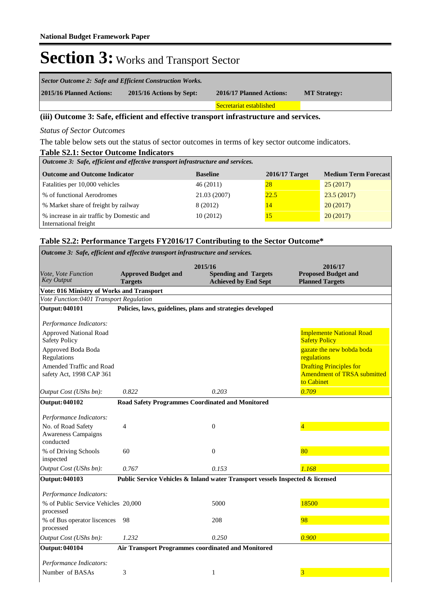| Sector Outcome 2: Safe and Efficient Construction Works. |                          |                          |                     |  |  |
|----------------------------------------------------------|--------------------------|--------------------------|---------------------|--|--|
| 2015/16 Planned Actions:                                 | 2015/16 Actions by Sept: | 2016/17 Planned Actions: | <b>MT Strategy:</b> |  |  |
|                                                          |                          | Secretariat established  |                     |  |  |

### **(iii) Outcome 3: Safe, efficient and effective transport infrastructure and services.**

*Status of Sector Outcomes*

**Table S2.1: Sector Outcome Indicators** The table below sets out the status of sector outcomes in terms of key sector outcome indicators.

| Table S2.1: Sector Outcome Indicators                                           |                 |                  |                             |  |  |  |  |
|---------------------------------------------------------------------------------|-----------------|------------------|-----------------------------|--|--|--|--|
| Outcome 3: Safe, efficient and effective transport infrastructure and services. |                 |                  |                             |  |  |  |  |
| <b>Outcome and Outcome Indicator</b>                                            | <b>Baseline</b> | $2016/17$ Target | <b>Medium Term Forecast</b> |  |  |  |  |
| Fatalities per 10,000 vehicles                                                  | 46(2011)        | 28               | 25(2017)                    |  |  |  |  |
| % of functional Aerodromes                                                      | 21.03 (2007)    | 22.5             | 23.5(2017)                  |  |  |  |  |
| % Market share of freight by railway                                            | 8 (2012)        | 14               | 20(2017)                    |  |  |  |  |
| % increase in air traffic by Domestic and                                       | 10(2012)        | 15               | 20(2017)                    |  |  |  |  |
| International freight                                                           |                 |                  |                             |  |  |  |  |

### **Table S2.2: Performance Targets FY2016/17 Contributing to the Sector Outcome\***

| Outcome 3: Safe, efficient and effective transport infrastructure and services. |                                                                               |                                                                       |                                                                                    |  |  |
|---------------------------------------------------------------------------------|-------------------------------------------------------------------------------|-----------------------------------------------------------------------|------------------------------------------------------------------------------------|--|--|
| Vote, Vote Function<br><b>Key Output</b>                                        | <b>Approved Budget and</b><br><b>Targets</b>                                  | 2015/16<br><b>Spending and Targets</b><br><b>Achieved by End Sept</b> | 2016/17<br><b>Proposed Budget and</b><br><b>Planned Targets</b>                    |  |  |
| <b>Vote: 016 Ministry of Works and Transport</b>                                |                                                                               |                                                                       |                                                                                    |  |  |
| Vote Function:0401 Transport Regulation                                         |                                                                               |                                                                       |                                                                                    |  |  |
| <b>Output: 040101</b>                                                           |                                                                               | Policies, laws, guidelines, plans and strategies developed            |                                                                                    |  |  |
| Performance Indicators:                                                         |                                                                               |                                                                       |                                                                                    |  |  |
| <b>Approved National Road</b><br><b>Safety Policy</b>                           |                                                                               |                                                                       | <b>Implemente National Road</b><br><b>Safety Policy</b>                            |  |  |
| Approved Boda Boda<br>Regulations                                               |                                                                               |                                                                       | gazate the new bobda boda<br>regulations                                           |  |  |
| Amended Traffic and Road<br>safety Act, 1998 CAP 361                            |                                                                               |                                                                       | <b>Drafting Principles for</b><br><b>Amendment of TRSA submitted</b><br>to Cabinet |  |  |
| Output Cost (UShs bn):                                                          | 0.822                                                                         | 0.203                                                                 | 0.709                                                                              |  |  |
| Output: 040102                                                                  | <b>Road Safety Programmes Coordinated and Monitored</b>                       |                                                                       |                                                                                    |  |  |
| Performance Indicators:                                                         |                                                                               |                                                                       |                                                                                    |  |  |
| No. of Road Safety<br><b>Awareness Campaigns</b><br>conducted                   | 4                                                                             | $\overline{0}$                                                        | $\overline{4}$                                                                     |  |  |
| % of Driving Schools<br>inspected                                               | 60                                                                            | $\Omega$                                                              | 80                                                                                 |  |  |
| Output Cost (UShs bn):                                                          | 0.767                                                                         | 0.153                                                                 | 1.168                                                                              |  |  |
| <b>Output: 040103</b>                                                           | Public Service Vehicles & Inland water Transport vessels Inspected & licensed |                                                                       |                                                                                    |  |  |
| Performance Indicators:                                                         |                                                                               |                                                                       |                                                                                    |  |  |
| % of Public Service Vehicles 20,000<br>processed                                |                                                                               | 5000                                                                  | 18500                                                                              |  |  |
| % of Bus operator liscences<br>processed                                        | -98                                                                           | 208                                                                   | 98                                                                                 |  |  |
| Output Cost (UShs bn):                                                          | 1.232                                                                         | 0.250                                                                 | 0.900                                                                              |  |  |
| <b>Output: 040104</b>                                                           | Air Transport Programmes coordinated and Monitored                            |                                                                       |                                                                                    |  |  |
| Performance Indicators:                                                         |                                                                               |                                                                       |                                                                                    |  |  |
| Number of BASAs                                                                 | 3                                                                             | 1                                                                     | 3                                                                                  |  |  |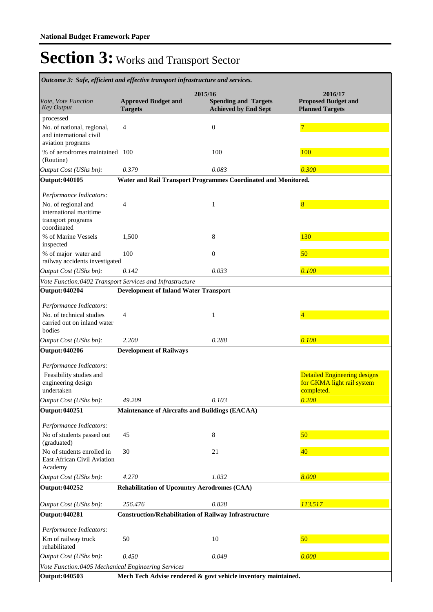| Outcome 3: Safe, efficient and effective transport infrastructure and services.         |                                                       |                                                                       |                                                                                 |  |  |
|-----------------------------------------------------------------------------------------|-------------------------------------------------------|-----------------------------------------------------------------------|---------------------------------------------------------------------------------|--|--|
| Vote, Vote Function<br><b>Key Output</b>                                                | <b>Approved Budget and</b><br><b>Targets</b>          | 2015/16<br><b>Spending and Targets</b><br><b>Achieved by End Sept</b> | 2016/17<br><b>Proposed Budget and</b><br><b>Planned Targets</b>                 |  |  |
| processed                                                                               |                                                       |                                                                       |                                                                                 |  |  |
| No. of national, regional,<br>and international civil<br>aviation programs              | 4                                                     | $\boldsymbol{0}$                                                      | 7                                                                               |  |  |
| % of aerodromes maintained 100<br>(Routine)                                             |                                                       | 100                                                                   | 100                                                                             |  |  |
| Output Cost (UShs bn):                                                                  | 0.379                                                 | 0.083                                                                 | 0.300                                                                           |  |  |
| Output: 040105                                                                          |                                                       | Water and Rail Transport Programmes Coordinated and Monitored.        |                                                                                 |  |  |
| Performance Indicators:                                                                 |                                                       |                                                                       |                                                                                 |  |  |
| No. of regional and<br>international maritime<br>transport programs<br>coordinated      | 4                                                     | 1                                                                     | 8                                                                               |  |  |
| % of Marine Vessels<br>inspected                                                        | 1,500                                                 | 8                                                                     | 130                                                                             |  |  |
| % of major water and<br>railway accidents investigated                                  | 100                                                   | $\overline{0}$                                                        | 50                                                                              |  |  |
| Output Cost (UShs bn):                                                                  | 0.142                                                 | 0.033                                                                 | 0.100                                                                           |  |  |
| Vote Function:0402 Transport Services and Infrastructure                                |                                                       |                                                                       |                                                                                 |  |  |
| Output: 040204                                                                          | <b>Development of Inland Water Transport</b>          |                                                                       |                                                                                 |  |  |
| Performance Indicators:                                                                 |                                                       |                                                                       |                                                                                 |  |  |
| No. of technical studies<br>carried out on inland water<br>bodies                       | 4                                                     | 1                                                                     | 4                                                                               |  |  |
| Output Cost (UShs bn):                                                                  | 2.200                                                 | 0.288                                                                 | 0.100                                                                           |  |  |
| <b>Output: 040206</b>                                                                   | <b>Development of Railways</b>                        |                                                                       |                                                                                 |  |  |
| Performance Indicators:                                                                 |                                                       |                                                                       |                                                                                 |  |  |
| Feasibility studies and<br>engineering design<br>undertaken                             |                                                       |                                                                       | <b>Detailed Engineering designs</b><br>for GKMA light rail system<br>completed. |  |  |
| Output Cost (UShs bn):                                                                  | 49.209                                                | 0.103                                                                 | 0.200                                                                           |  |  |
| Output: 040251                                                                          | <b>Maintenance of Aircrafts and Buildings (EACAA)</b> |                                                                       |                                                                                 |  |  |
| Performance Indicators:                                                                 |                                                       |                                                                       |                                                                                 |  |  |
| No of students passed out<br>(graduated)                                                | 45                                                    | $\,8\,$                                                               | 50                                                                              |  |  |
| No of students enrolled in<br>East African Civil Aviation<br>Academy                    | 30                                                    | 21                                                                    | 40                                                                              |  |  |
| Output Cost (UShs bn):                                                                  | 4.270                                                 | 1.032                                                                 | 8.000                                                                           |  |  |
| <b>Output: 040252</b>                                                                   | <b>Rehabilitation of Upcountry Aerodromes (CAA)</b>   |                                                                       |                                                                                 |  |  |
| Output Cost (UShs bn):                                                                  | 256.476                                               | 0.828                                                                 | 113.517                                                                         |  |  |
| Output: 040281                                                                          |                                                       | <b>Construction/Rehabilitation of Railway Infrastructure</b>          |                                                                                 |  |  |
| Performance Indicators:                                                                 |                                                       |                                                                       |                                                                                 |  |  |
| Km of railway truck<br>rehabilitated                                                    | 50                                                    | 10                                                                    | 50                                                                              |  |  |
| Output Cost (UShs bn):                                                                  | 0.450                                                 | 0.049                                                                 | 0.000                                                                           |  |  |
| Vote Function:0405 Mechanical Engineering Services                                      |                                                       |                                                                       |                                                                                 |  |  |
| <b>Output: 040503</b><br>Mech Tech Advise rendered & govt vehicle inventory maintained. |                                                       |                                                                       |                                                                                 |  |  |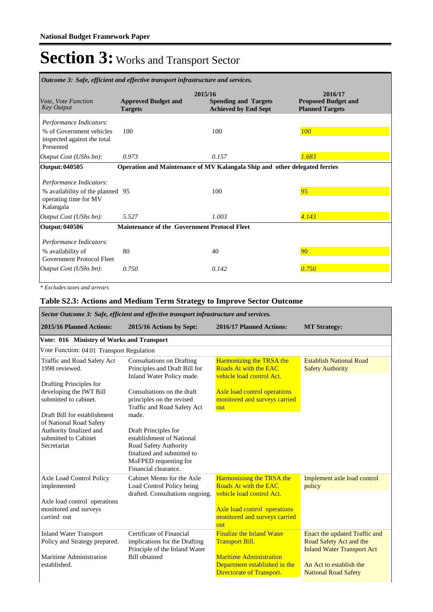| Outcome 3: Safe, efficient and effective transport infrastructure and services.                   |                                                                                                                       |       |                                                                 |  |  |
|---------------------------------------------------------------------------------------------------|-----------------------------------------------------------------------------------------------------------------------|-------|-----------------------------------------------------------------|--|--|
| <i>Vote, Vote Function</i><br><b>Key Output</b>                                                   | 2015/16<br><b>Approved Budget and</b><br><b>Spending and Targets</b><br><b>Achieved by End Sept</b><br><b>Targets</b> |       | 2016/17<br><b>Proposed Budget and</b><br><b>Planned Targets</b> |  |  |
| Performance Indicators:                                                                           |                                                                                                                       |       |                                                                 |  |  |
| % of Government vehicles<br>inspected against the total<br>Presented                              | 100                                                                                                                   | 100   | 100                                                             |  |  |
| Output Cost (UShs bn):                                                                            | 0.973                                                                                                                 | 0.157 | 1.683                                                           |  |  |
| Output: 040505                                                                                    | Operation and Maintenance of MV Kalangala Ship and other delegated ferries                                            |       |                                                                 |  |  |
| Performance Indicators:<br>% availability of the planned 95<br>operating time for MV<br>Kalangala |                                                                                                                       | 100   | 95                                                              |  |  |
| Output Cost (UShs bn):                                                                            | 5.527                                                                                                                 | 1.003 | 4.143                                                           |  |  |
| Output: 040506<br>Performance Indicators:                                                         | <b>Maintenance of the Government Protocol Fleet</b>                                                                   |       |                                                                 |  |  |
| % availability of<br>Government Protocol Fleet                                                    | 80                                                                                                                    | 40    | 90                                                              |  |  |
| <i>Output Cost (UShs bn):</i>                                                                     | 0.750                                                                                                                 | 0.142 | 0.750                                                           |  |  |

*\* Excludes taxes and arrears*

### **Table S2.3: Actions and Medium Term Strategy to Improve Sector Outcome**

*Sector Outcome 3: Safe, efficient and effective transport infrastructure and services.*

| <b>2015/16 Planned Actions:</b>                                                                                                                                                                                                                           | 2015/16 Actions by Sept:                                                                                                                                                                                                                                                                                                                                       | 2016/17 Planned Actions:                                                                                                                                             | <b>MT Strategy:</b>                                                                                                                                     |
|-----------------------------------------------------------------------------------------------------------------------------------------------------------------------------------------------------------------------------------------------------------|----------------------------------------------------------------------------------------------------------------------------------------------------------------------------------------------------------------------------------------------------------------------------------------------------------------------------------------------------------------|----------------------------------------------------------------------------------------------------------------------------------------------------------------------|---------------------------------------------------------------------------------------------------------------------------------------------------------|
| Vote: 016 Ministry of Works and Transport                                                                                                                                                                                                                 |                                                                                                                                                                                                                                                                                                                                                                |                                                                                                                                                                      |                                                                                                                                                         |
| Vote Function: 0401 Transport Regulation                                                                                                                                                                                                                  |                                                                                                                                                                                                                                                                                                                                                                |                                                                                                                                                                      |                                                                                                                                                         |
| Traffic and Road Safety Act<br>1998 reviewed.<br>Drafting Principles for<br>developing the IWT Bill<br>submitted to cabinet.<br>Draft Bill for establishment<br>of National Road Safety<br>Authority finalized and<br>submitted to Cabinet<br>Secretariat | <b>Consultations on Drafting</b><br>Principles and Draft Bill for<br>Inland Water Policy made.<br>Consultations on the draft<br>principles on the revised<br>Traffic and Road Safety Act<br>made.<br>Draft Principles for<br>establishment of National<br>Road Safety Authority<br>finalized and submitted to<br>MoFPED requesting for<br>Financial clearance. | <b>Harmonizing the TRSA the</b><br>Roads At with the EAC<br>vehicle load control Act.<br><b>Axle load control operations</b><br>monitored and surveys carried<br>out | <b>Establish National Road</b><br><b>Safety Authority</b>                                                                                               |
| Axle Load Control Policy<br>implemented<br>Axle load control operations<br>monitored and surveys<br>carried out                                                                                                                                           | Cabinet Memo for the Axle<br>Load Control Policy being<br>drafted. Consultations ongoing.                                                                                                                                                                                                                                                                      | <b>Harmonisisng the TRSA the</b><br>Roads At with the EAC<br>vehicle load control Act.<br>Axle load control operations<br>monitored and surveys carried<br>out       | Implement axle load control<br>policy                                                                                                                   |
| <b>Inland Water Transport</b><br>Policy and Strategy prepared.<br>Maritime Administration<br>established.                                                                                                                                                 | Certificate of Financial<br>implications for the Drafting<br>Principle of the Inland Water<br><b>Bill</b> obtained                                                                                                                                                                                                                                             | <b>Finalize the Inland Water</b><br><b>Transport Bill.</b><br><b>Maritime Administration</b><br>Department established in the<br>Directorate of Transport.           | Enact the updated Traffic and<br>Road Safety Act and the<br><b>Inland Water Transport Act</b><br>An Act to establish the<br><b>National Road Safety</b> |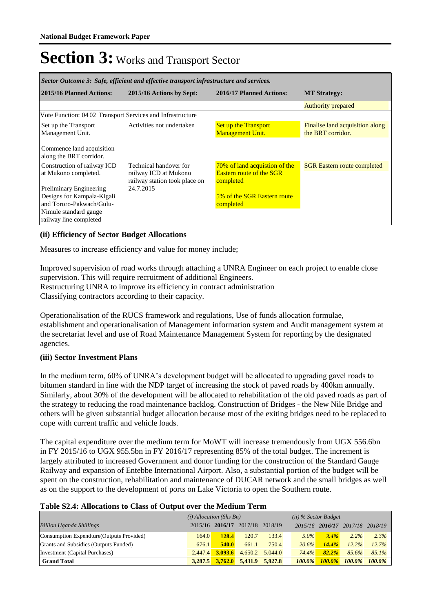| Sector Outcome 3: Safe, efficient and effective transport infrastructure and services.                                                      |                                                                                  |                                                                               |                                                      |  |
|---------------------------------------------------------------------------------------------------------------------------------------------|----------------------------------------------------------------------------------|-------------------------------------------------------------------------------|------------------------------------------------------|--|
| 2015/16 Planned Actions:                                                                                                                    | 2015/16 Actions by Sept:                                                         | 2016/17 Planned Actions:                                                      | <b>MT Strategy:</b>                                  |  |
|                                                                                                                                             |                                                                                  |                                                                               | <b>Authority prepared</b>                            |  |
| Vote Function: 04 02 Transport Services and Infrastructure                                                                                  |                                                                                  |                                                                               |                                                      |  |
| Set up the Transport<br>Management Unit.                                                                                                    | Activities not undertaken                                                        | <b>Set up the Transport</b><br><b>Management Unit.</b>                        | Finalise land acquisition along<br>the BRT corridor. |  |
| Commence land acquisition<br>along the BRT corridor.                                                                                        |                                                                                  |                                                                               |                                                      |  |
| Construction of railway ICD<br>at Mukono completed.                                                                                         | Technical handover for<br>railway ICD at Mukono<br>railway station took place on | 70% of land acquistion of the<br><b>Eastern route of the SGR</b><br>completed | <b>SGR Eastern route completed</b>                   |  |
| <b>Preliminary Engineering</b><br>Designs for Kampala-Kigali<br>and Tororo-Pakwach/Gulu-<br>Nimule standard gauge<br>railway line completed | 24.7.2015                                                                        | 5% of the SGR Eastern route<br>completed                                      |                                                      |  |

### **(ii) Efficiency of Sector Budget Allocations**

Measures to increase efficiency and value for money include;

Improved supervision of road works through attaching a UNRA Engineer on each project to enable close supervision. This will require recruitment of additional Engineers. Restructuring UNRA to improve its efficiency in contract administration Classifying contractors according to their capacity.

Operationalisation of the RUCS framework and regulations, Use of funds allocation formulae, establishment and operationalisation of Management information system and Audit management system at the secretariat level and use of Road Maintenance Management System for reporting by the designated agencies.

### **(iii) Sector Investment Plans**

In the medium term, 60% of UNRA's development budget will be allocated to upgrading gavel roads to bitumen standard in line with the NDP target of increasing the stock of paved roads by 400km annually. Similarly, about 30% of the development will be allocated to rehabilitation of the old paved roads as part of the strategy to reducing the road maintenance backlog. Construction of Bridges - the New Nile Bridge and others will be given substantial budget allocation because most of the exiting bridges need to be replaced to cope with current traffic and vehicle loads.

The capital expenditure over the medium term for MoWT will increase tremendously from UGX 556.6bn in FY 2015/16 to UGX 955.5bn in FY 2016/17 representing 85% of the total budget. The increment is largely attributed to increased Government and donor funding for the construction of the Standard Gauge Railway and expansion of Entebbe International Airport. Also, a substantial portion of the budget will be spent on the construction, rehabilitation and maintenance of DUCAR network and the small bridges as well as on the support to the development of ports on Lake Victoria to open the Southern route.

### **Table S2.4: Allocations to Class of Output over the Medium Term**

|                                           | $(i)$ Allocation (Shs Bn) |              |                                 | $(ii)$ % Sector Budget |           |                 |           |           |
|-------------------------------------------|---------------------------|--------------|---------------------------------|------------------------|-----------|-----------------|-----------|-----------|
| <b>Billion Uganda Shillings</b>           |                           |              | 2015/16 2016/17 2017/18 2018/19 |                        |           | 2015/16 2016/17 | 2017/18   | 2018/19   |
| Consumption Expendture (Outputs Provided) | 164.0                     | 128.4        | 120.7                           | 133.4                  | $5.0\%$   | $3.4\%$         | $2.2\%$   | $2.3\%$   |
| Grants and Subsidies (Outputs Funded)     | 676.1                     | <b>540.0</b> | 661.1                           | 750.4                  | 20.6%     | 14.4%           | 12.2%     | 12.7%     |
| Investment (Capital Purchases)            | 2.447.4                   | 3.093.6      | 4.650.2                         | 5.044.0                | 74.4%     | 82.2%           | 85.6%     | $85.1\%$  |
| <b>Grand Total</b>                        | 3.287.5                   | 3,762.0      | 5.431.9                         | 5.927.8                | $100.0\%$ | $100.0\%$       | $100.0\%$ | $100.0\%$ |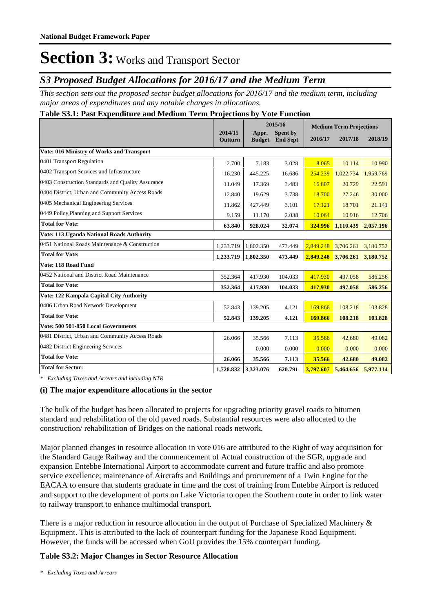### *S3 Proposed Budget Allocations for 2016/17 and the Medium Term*

*This section sets out the proposed sector budget allocations for 2016/17 and the medium term, including major areas of expenditures and any notable changes in allocations.* 

### **Table S3.1: Past Expenditure and Medium Term Projections by Vote Function**

|                                                   |                    | 2015/16                |                             | <b>Medium Term Projections</b> |           |                     |
|---------------------------------------------------|--------------------|------------------------|-----------------------------|--------------------------------|-----------|---------------------|
|                                                   | 2014/15<br>Outturn | Appr.<br><b>Budget</b> | Spent by<br><b>End Sept</b> | 2016/17                        | 2017/18   | 2018/19             |
| Vote: 016 Ministry of Works and Transport         |                    |                        |                             |                                |           |                     |
| 0401 Transport Regulation                         | 2.700              | 7.183                  | 3.028                       | 8.065                          | 10.114    | 10.990              |
| 0402 Transport Services and Infrastructure        | 16.230             | 445.225                | 16.686                      | 254.239                        | 1,022.734 | 1,959.769           |
| 0403 Construction Standards and Quality Assurance | 11.049             | 17.369                 | 3.483                       | 16.807                         | 20.729    | 22.591              |
| 0404 District, Urban and Community Access Roads   | 12.840             | 19.629                 | 3.738                       | 18.700                         | 27.246    | 30.000              |
| 0405 Mechanical Engineering Services              | 11.862             | 427.449                | 3.101                       | 17.121                         | 18.701    | 21.141              |
| 0449 Policy, Planning and Support Services        | 9.159              | 11.170                 | 2.038                       | 10.064                         | 10.916    | 12.706              |
| <b>Total for Vote:</b>                            | 63.840             | 928.024                | 32.074                      | 324.996                        | 1,110.439 | 2,057.196           |
| Vote: 113 Uganda National Roads Authority         |                    |                        |                             |                                |           |                     |
| 0451 National Roads Maintenance & Construction    | 1,233.719          | 1,802.350              | 473.449                     | 2,849.248                      | 3,706.261 | 3,180.752           |
| <b>Total for Vote:</b>                            | 1,233.719          | 1,802.350              | 473.449                     | 2,849.248                      | 3,706.261 | 3,180.752           |
| Vote: 118 Road Fund                               |                    |                        |                             |                                |           |                     |
| 0452 National and District Road Maintenance       | 352.364            | 417.930                | 104.033                     | 417.930                        | 497.058   | 586.256             |
| <b>Total for Vote:</b>                            | 352.364            | 417.930                | 104.033                     | 417.930                        | 497.058   | 586.256             |
| Vote: 122 Kampala Capital City Authority          |                    |                        |                             |                                |           |                     |
| 0406 Urban Road Network Development               | 52.843             | 139.205                | 4.121                       | 169.866                        | 108.218   | 103.828             |
| <b>Total for Vote:</b>                            | 52.843             | 139.205                | 4.121                       | 169.866                        | 108.218   | 103.828             |
| Vote: 500 501-850 Local Governments               |                    |                        |                             |                                |           |                     |
| 0481 District, Urban and Community Access Roads   | 26.066             | 35.566                 | 7.113                       | 35.566                         | 42.680    | 49.082              |
| 0482 District Engineering Services                |                    | 0.000                  | 0.000                       | 0.000                          | 0.000     | 0.000               |
| <b>Total for Vote:</b>                            | 26.066             | 35.566                 | 7.113                       | 35.566                         | 42.680    | 49.082              |
| <b>Total for Sector:</b>                          | 1,728.832          | 3,323.076              | 620.791                     | 3,797.607                      |           | 5,464.656 5,977.114 |

*\* Excluding Taxes and Arrears and including NTR*

### **(i) The major expenditure allocations in the sector**

The bulk of the budget has been allocated to projects for upgrading priority gravel roads to bitumen standard and rehabilitation of the old paved roads. Substantial resources were also allocated to the construction/ rehabilitation of Bridges on the national roads network.

Major planned changes in resource allocation in vote 016 are attributed to the Right of way acquisition for the Standard Gauge Railway and the commencement of Actual construction of the SGR, upgrade and expansion Entebbe International Airport to accommodate current and future traffic and also promote service excellence; maintenance of Aircrafts and Buildings and procurement of a Twin Engine for the EACAA to ensure that students graduate in time and the cost of training from Entebbe Airport is reduced and support to the development of ports on Lake Victoria to open the Southern route in order to link water to railway transport to enhance multimodal transport.

There is a major reduction in resource allocation in the output of Purchase of Specialized Machinery & Equipment. This is attributed to the lack of counterpart funding for the Japanese Road Equipment. However, the funds will be accessed when GoU provides the 15% counterpart funding.

### **Table S3.2: Major Changes in Sector Resource Allocation**

*<sup>\*</sup> Excluding Taxes and Arrears*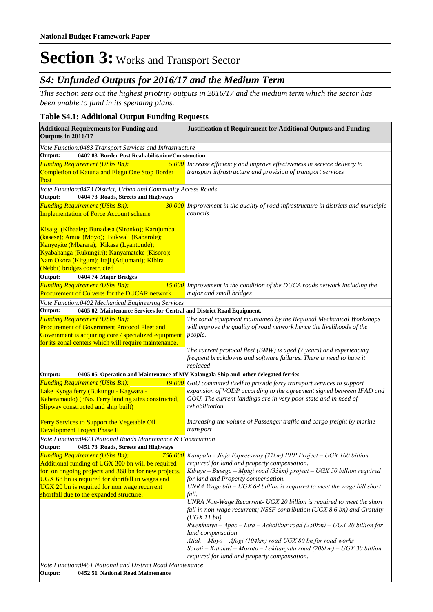## *S4: Unfunded Outputs for 2016/17 and the Medium Term*

*This section sets out the highest priotrity outputs in 2016/17 and the medium term which the sector has been unable to fund in its spending plans.*

### **Table S4.1: Additional Output Funding Requests**

| <b>Additional Requirements for Funding and</b><br>Outputs in 2016/17                                                                                                                                                                                                                                                                                                                                              | <b>Justification of Requirement for Additional Outputs and Funding</b>                                                                                                                                                                                                                                                                                                                                                                                                                                                                                                                                                                                                                                                                                                              |  |  |  |
|-------------------------------------------------------------------------------------------------------------------------------------------------------------------------------------------------------------------------------------------------------------------------------------------------------------------------------------------------------------------------------------------------------------------|-------------------------------------------------------------------------------------------------------------------------------------------------------------------------------------------------------------------------------------------------------------------------------------------------------------------------------------------------------------------------------------------------------------------------------------------------------------------------------------------------------------------------------------------------------------------------------------------------------------------------------------------------------------------------------------------------------------------------------------------------------------------------------------|--|--|--|
| Vote Function:0483 Transport Services and Infrastructure<br>0402 83 Border Post Reahabilitation/Construction<br>Output:                                                                                                                                                                                                                                                                                           |                                                                                                                                                                                                                                                                                                                                                                                                                                                                                                                                                                                                                                                                                                                                                                                     |  |  |  |
| <b>Funding Requirement (UShs Bn):</b><br>Completion of Katuna and Elegu One Stop Border<br>Post                                                                                                                                                                                                                                                                                                                   | 5.000 Increase efficiency and improve effectiveness in service delivery to<br>transport infrastructure and provision of transport services                                                                                                                                                                                                                                                                                                                                                                                                                                                                                                                                                                                                                                          |  |  |  |
| Vote Function:0473 District, Urban and Community Access Roads<br>Output:<br>0404 73 Roads, Streets and Highways                                                                                                                                                                                                                                                                                                   |                                                                                                                                                                                                                                                                                                                                                                                                                                                                                                                                                                                                                                                                                                                                                                                     |  |  |  |
| <b>Funding Requirement (UShs Bn):</b>                                                                                                                                                                                                                                                                                                                                                                             | 30.000 Improvement in the quality of road infrastructure in districts and municiple                                                                                                                                                                                                                                                                                                                                                                                                                                                                                                                                                                                                                                                                                                 |  |  |  |
| <b>Implementation of Force Account scheme</b>                                                                                                                                                                                                                                                                                                                                                                     | councils                                                                                                                                                                                                                                                                                                                                                                                                                                                                                                                                                                                                                                                                                                                                                                            |  |  |  |
| Kisaigi (Kibaale); Bunadasa (Sironko); Karujumba<br>(kasese); Amua (Moyo); Bukwali (Kabarole);<br>Kanyeyite (Mbarara); Kikasa (Lyantonde);<br>Kyabahanga (Rukungiri); Kanyamateke (Kisoro);<br>Nam Okora (Kitgum); Iraji (Adjumani); Kibira<br>(Nebbi) bridges constructed                                                                                                                                        |                                                                                                                                                                                                                                                                                                                                                                                                                                                                                                                                                                                                                                                                                                                                                                                     |  |  |  |
| Output:<br>0404 74 Major Bridges                                                                                                                                                                                                                                                                                                                                                                                  |                                                                                                                                                                                                                                                                                                                                                                                                                                                                                                                                                                                                                                                                                                                                                                                     |  |  |  |
| <b>Funding Requirement (UShs Bn):</b><br>Procurement of Culverts for the DUCAR network                                                                                                                                                                                                                                                                                                                            | 15.000 Improvement in the condition of the DUCA roads network including the<br>major and small bridges                                                                                                                                                                                                                                                                                                                                                                                                                                                                                                                                                                                                                                                                              |  |  |  |
| Vote Function:0402 Mechanical Engineering Services                                                                                                                                                                                                                                                                                                                                                                |                                                                                                                                                                                                                                                                                                                                                                                                                                                                                                                                                                                                                                                                                                                                                                                     |  |  |  |
| 0405 02 Maintenance Services for Central and District Road Equipment.<br>Output:                                                                                                                                                                                                                                                                                                                                  |                                                                                                                                                                                                                                                                                                                                                                                                                                                                                                                                                                                                                                                                                                                                                                                     |  |  |  |
| <b>Funding Requirement (UShs Bn):</b>                                                                                                                                                                                                                                                                                                                                                                             | The zonal equipment maintained by the Regional Mechanical Workshops                                                                                                                                                                                                                                                                                                                                                                                                                                                                                                                                                                                                                                                                                                                 |  |  |  |
| <b>Procurement of Government Protocol Fleet and</b><br>Government is acquiring core / specialized equipment<br>for its zonal centers which will require maintenance.                                                                                                                                                                                                                                              | will improve the quality of road network hence the livelihoods of the<br>people.                                                                                                                                                                                                                                                                                                                                                                                                                                                                                                                                                                                                                                                                                                    |  |  |  |
|                                                                                                                                                                                                                                                                                                                                                                                                                   | The current protocal fleet (BMW) is aged (7 years) and experiencing<br>frequent breakdowns and software failures. There is need to have it<br>replaced                                                                                                                                                                                                                                                                                                                                                                                                                                                                                                                                                                                                                              |  |  |  |
| Output:                                                                                                                                                                                                                                                                                                                                                                                                           | 0405 05 Operation and Maintenance of MV Kalangala Ship and other delegated ferries                                                                                                                                                                                                                                                                                                                                                                                                                                                                                                                                                                                                                                                                                                  |  |  |  |
| <b>Funding Requirement (UShs Bn):</b><br>Lake Kyoga ferry (Bukungu - Kagwara -<br>Kaberamaido) (3No. Ferry landing sites constructed,<br>Slipway constructed and ship built)                                                                                                                                                                                                                                      | 19.000 GoU committed itself to provide ferry transport services to support<br>expansion of VODP according to the agreement signed between IFAD and<br>GOU. The current landings are in very poor state and in need of<br>rehabilitation.                                                                                                                                                                                                                                                                                                                                                                                                                                                                                                                                            |  |  |  |
| Ferry Services to Support the Vegetable Oil<br>Development Project Phase II                                                                                                                                                                                                                                                                                                                                       | Increasing the volume of Passenger traffic and cargo freight by marine<br>transport                                                                                                                                                                                                                                                                                                                                                                                                                                                                                                                                                                                                                                                                                                 |  |  |  |
| Vote Function: 0473 National Roads Maintenance & Construction                                                                                                                                                                                                                                                                                                                                                     |                                                                                                                                                                                                                                                                                                                                                                                                                                                                                                                                                                                                                                                                                                                                                                                     |  |  |  |
| 0451 73 Roads, Streets and Highways<br>Output:<br><b>Funding Requirement (UShs Bn):</b><br>Additional funding of UGX 300 bn will be required<br>for on ongoing projects and 368 bn for new projects.<br>UGX 68 bn is required for shortfall in wages and<br>UGX 20 bn is required for non wage recurrent<br>shortfall due to the expanded structure.<br>Vote Function:0451 National and District Road Maintenance | 756.000 Kampala - Jinja Expressway (77km) PPP Project - UGX 100 billion<br>required for land and property compensation.<br>Kibuye – Busega – Mpigi road (33km) project – UGX 50 billion required<br>for land and Property compensation.<br>UNRA Wage bill $-$ UGX 68 billion is required to meet the wage bill short<br>fall.<br>UNRA Non-Wage Recurrent- UGX 20 billion is required to meet the short<br>fall in non-wage recurrent; NSSF contribution (UGX 8.6 bn) and Gratuity<br>(UGX11bn)<br>Rwenkunye – Apac – Lira – Acholibur road (250km) – UGX 20 billion for<br>land compensation<br>Atiak – Moyo – Afogi (104km) road UGX 80 bn for road works<br>Soroti – Katakwi – Moroto – Lokitanyala road (208km) – UGX 30 billion<br>required for land and property compensation. |  |  |  |
| Output:<br>0452 51 National Road Maintenance                                                                                                                                                                                                                                                                                                                                                                      |                                                                                                                                                                                                                                                                                                                                                                                                                                                                                                                                                                                                                                                                                                                                                                                     |  |  |  |